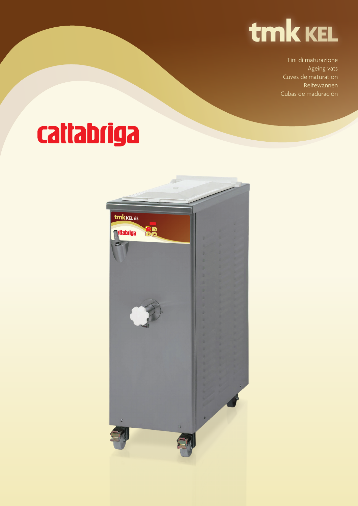

Tini di maturazione Ageing vats Cuves de maturation Reifewannen Cubas de maduración

## cattabriga